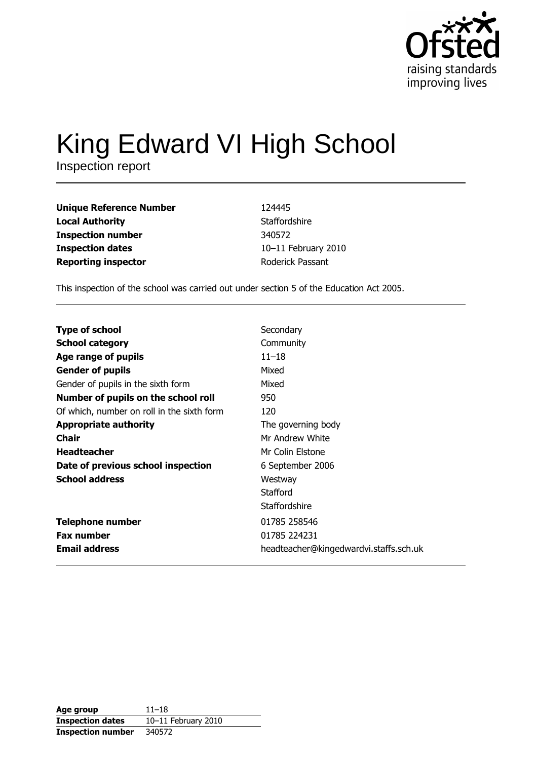

# King Edward VI High School

Inspection report

| Unique Reference Number    | 124445              |
|----------------------------|---------------------|
| Local Authority            | Staffordshire       |
| Inspection number          | 340572              |
| <b>Inspection dates</b>    | 10-11 February 2010 |
| <b>Reporting inspector</b> | Roderick Passant    |
|                            |                     |

This inspection of the school was carried out under section 5 of the Education Act 2005.

| <b>Type of school</b>                      | Secondary                              |
|--------------------------------------------|----------------------------------------|
| <b>School category</b>                     | Community                              |
| Age range of pupils                        | $11 - 18$                              |
| <b>Gender of pupils</b>                    | Mixed                                  |
| Gender of pupils in the sixth form         | Mixed                                  |
| Number of pupils on the school roll        | 950                                    |
| Of which, number on roll in the sixth form | 120                                    |
| <b>Appropriate authority</b>               | The governing body                     |
| <b>Chair</b>                               | Mr Andrew White                        |
| <b>Headteacher</b>                         | Mr Colin Elstone                       |
| Date of previous school inspection         | 6 September 2006                       |
| <b>School address</b>                      | Westway                                |
|                                            | Stafford                               |
|                                            | Staffordshire                          |
| <b>Telephone number</b>                    | 01785 258546                           |
| <b>Fax number</b>                          | 01785 224231                           |
| <b>Email address</b>                       | headteacher@kingedwardvi.staffs.sch.uk |

| Age group                | $11 - 18$           |
|--------------------------|---------------------|
| <b>Inspection dates</b>  | 10-11 February 2010 |
| <b>Inspection number</b> | 340572              |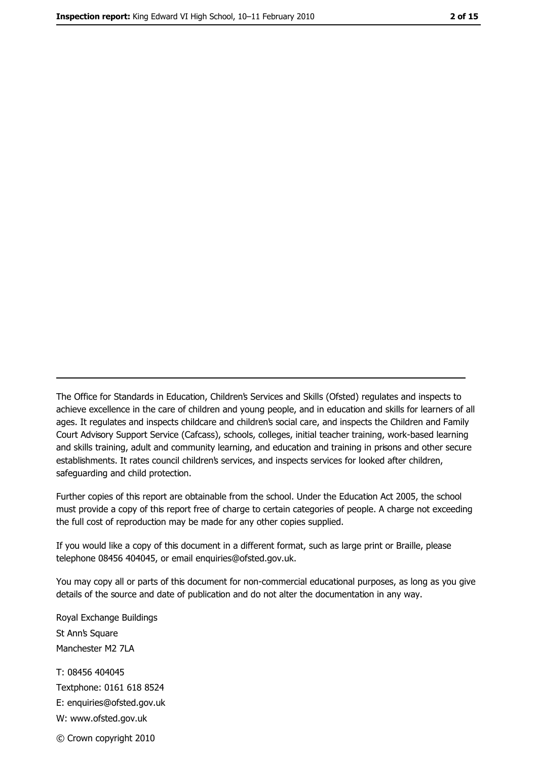The Office for Standards in Education, Children's Services and Skills (Ofsted) regulates and inspects to achieve excellence in the care of children and young people, and in education and skills for learners of all ages. It regulates and inspects childcare and children's social care, and inspects the Children and Family Court Advisory Support Service (Cafcass), schools, colleges, initial teacher training, work-based learning and skills training, adult and community learning, and education and training in prisons and other secure establishments. It rates council children's services, and inspects services for looked after children, safequarding and child protection.

Further copies of this report are obtainable from the school. Under the Education Act 2005, the school must provide a copy of this report free of charge to certain categories of people. A charge not exceeding the full cost of reproduction may be made for any other copies supplied.

If you would like a copy of this document in a different format, such as large print or Braille, please telephone 08456 404045, or email enquiries@ofsted.gov.uk.

You may copy all or parts of this document for non-commercial educational purposes, as long as you give details of the source and date of publication and do not alter the documentation in any way.

Royal Exchange Buildings St Ann's Square Manchester M2 7LA T: 08456 404045 Textphone: 0161 618 8524 E: enquiries@ofsted.gov.uk W: www.ofsted.gov.uk © Crown copyright 2010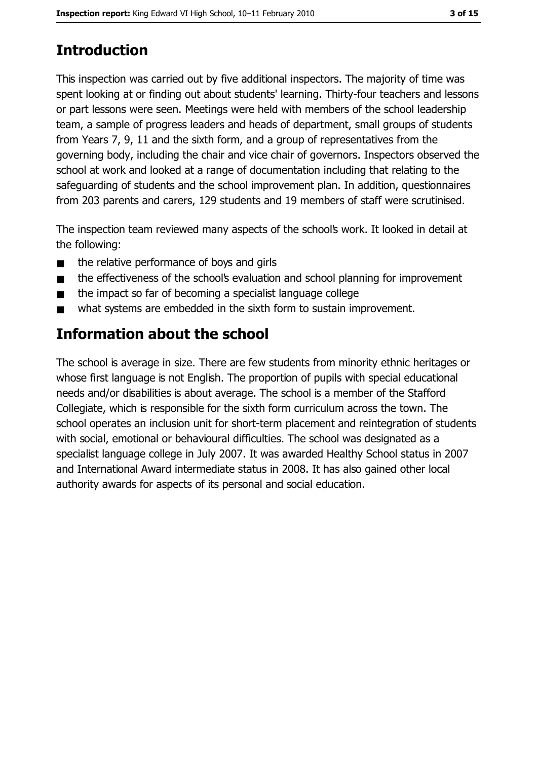# **Introduction**

This inspection was carried out by five additional inspectors. The majority of time was spent looking at or finding out about students' learning. Thirty-four teachers and lessons or part lessons were seen. Meetings were held with members of the school leadership team, a sample of progress leaders and heads of department, small groups of students from Years 7, 9, 11 and the sixth form, and a group of representatives from the governing body, including the chair and vice chair of governors. Inspectors observed the school at work and looked at a range of documentation including that relating to the safeguarding of students and the school improvement plan. In addition, questionnaires from 203 parents and carers, 129 students and 19 members of staff were scrutinised.

The inspection team reviewed many aspects of the school's work. It looked in detail at the following:

- the relative performance of boys and girls  $\blacksquare$
- the effectiveness of the school's evaluation and school planning for improvement  $\blacksquare$
- the impact so far of becoming a specialist language college  $\blacksquare$
- what systems are embedded in the sixth form to sustain improvement.  $\blacksquare$

# Information about the school

The school is average in size. There are few students from minority ethnic heritages or whose first language is not English. The proportion of pupils with special educational needs and/or disabilities is about average. The school is a member of the Stafford Collegiate, which is responsible for the sixth form curriculum across the town. The school operates an inclusion unit for short-term placement and reintegration of students with social, emotional or behavioural difficulties. The school was designated as a specialist language college in July 2007. It was awarded Healthy School status in 2007 and International Award intermediate status in 2008. It has also gained other local authority awards for aspects of its personal and social education.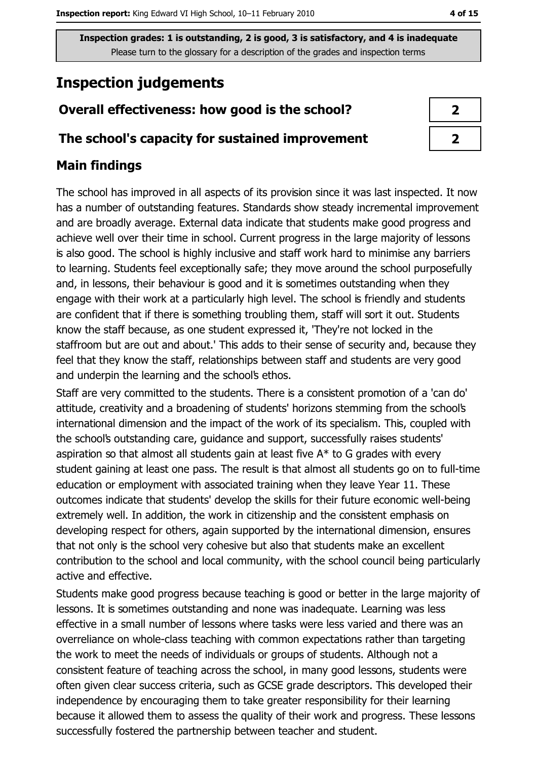## **Inspection judgements**

## Overall effectiveness: how good is the school?

### The school's capacity for sustained improvement

## **Main findings**

The school has improved in all aspects of its provision since it was last inspected. It now has a number of outstanding features. Standards show steady incremental improvement and are broadly average. External data indicate that students make good progress and achieve well over their time in school. Current progress in the large majority of lessons is also good. The school is highly inclusive and staff work hard to minimise any barriers to learning. Students feel exceptionally safe; they move around the school purposefully and, in lessons, their behaviour is good and it is sometimes outstanding when they engage with their work at a particularly high level. The school is friendly and students are confident that if there is something troubling them, staff will sort it out. Students know the staff because, as one student expressed it, 'They're not locked in the staffroom but are out and about.' This adds to their sense of security and, because they feel that they know the staff, relationships between staff and students are very good and underpin the learning and the school's ethos.

Staff are very committed to the students. There is a consistent promotion of a 'can do' attitude, creativity and a broadening of students' horizons stemming from the school's international dimension and the impact of the work of its specialism. This, coupled with the school's outstanding care, guidance and support, successfully raises students' aspiration so that almost all students gain at least five  $A^*$  to G grades with every student gaining at least one pass. The result is that almost all students go on to full-time education or employment with associated training when they leave Year 11. These outcomes indicate that students' develop the skills for their future economic well-being extremely well. In addition, the work in citizenship and the consistent emphasis on developing respect for others, again supported by the international dimension, ensures that not only is the school very cohesive but also that students make an excellent contribution to the school and local community, with the school council being particularly active and effective.

Students make good progress because teaching is good or better in the large majority of lessons. It is sometimes outstanding and none was inadequate. Learning was less effective in a small number of lessons where tasks were less varied and there was an overreliance on whole-class teaching with common expectations rather than targeting the work to meet the needs of individuals or groups of students. Although not a consistent feature of teaching across the school, in many good lessons, students were often given clear success criteria, such as GCSE grade descriptors. This developed their independence by encouraging them to take greater responsibility for their learning because it allowed them to assess the quality of their work and progress. These lessons successfully fostered the partnership between teacher and student.

| ◢ |
|---|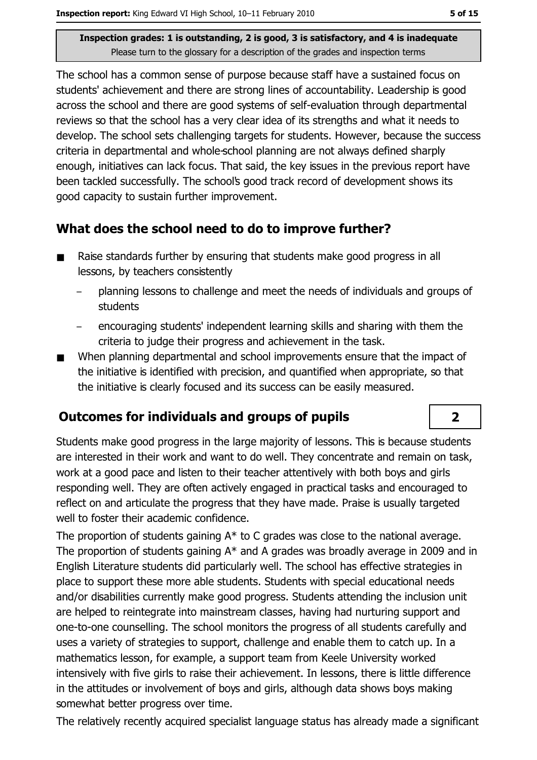The school has a common sense of purpose because staff have a sustained focus on students' achievement and there are strong lines of accountability. Leadership is good across the school and there are good systems of self-evaluation through departmental reviews so that the school has a very clear idea of its strengths and what it needs to develop. The school sets challenging targets for students. However, because the success criteria in departmental and whole-school planning are not always defined sharply enough, initiatives can lack focus. That said, the key issues in the previous report have been tackled successfully. The school's good track record of development shows its good capacity to sustain further improvement.

## What does the school need to do to improve further?

- Raise standards further by ensuring that students make good progress in all  $\blacksquare$ lessons, by teachers consistently
	- planning lessons to challenge and meet the needs of individuals and groups of **students**
	- encouraging students' independent learning skills and sharing with them the criteria to judge their progress and achievement in the task.
- When planning departmental and school improvements ensure that the impact of the initiative is identified with precision, and quantified when appropriate, so that the initiative is clearly focused and its success can be easily measured.

## **Outcomes for individuals and groups of pupils**

Students make good progress in the large majority of lessons. This is because students are interested in their work and want to do well. They concentrate and remain on task, work at a good pace and listen to their teacher attentively with both boys and girls responding well. They are often actively engaged in practical tasks and encouraged to reflect on and articulate the progress that they have made. Praise is usually targeted well to foster their academic confidence.

The proportion of students gaining  $A^*$  to C grades was close to the national average. The proportion of students gaining  $A^*$  and A grades was broadly average in 2009 and in English Literature students did particularly well. The school has effective strategies in place to support these more able students. Students with special educational needs and/or disabilities currently make good progress. Students attending the inclusion unit are helped to reintegrate into mainstream classes, having had nurturing support and one-to-one counselling. The school monitors the progress of all students carefully and uses a variety of strategies to support, challenge and enable them to catch up. In a mathematics lesson, for example, a support team from Keele University worked intensively with five girls to raise their achievement. In lessons, there is little difference in the attitudes or involvement of boys and girls, although data shows boys making somewhat better progress over time.

The relatively recently acquired specialist language status has already made a significant

 $\overline{2}$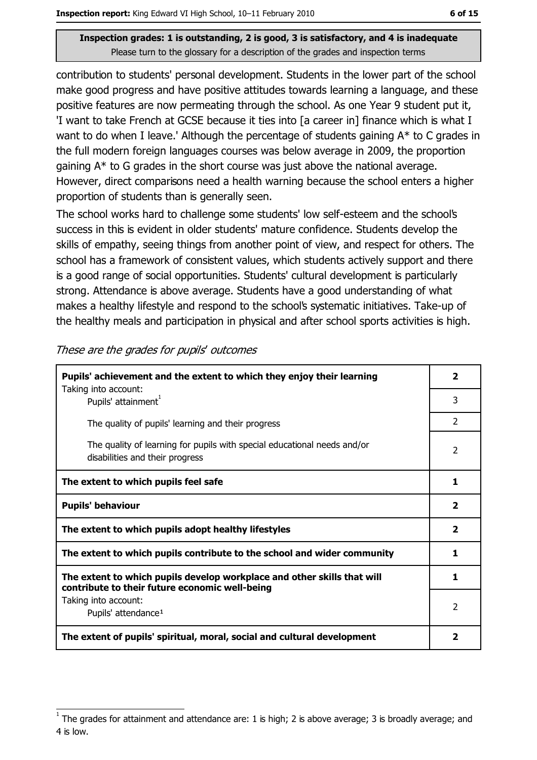contribution to students' personal development. Students in the lower part of the school make good progress and have positive attitudes towards learning a language, and these positive features are now permeating through the school. As one Year 9 student put it, 'I want to take French at GCSE because it ties into [a career in] finance which is what I want to do when I leave.' Although the percentage of students gaining A\* to C grades in the full modern foreign languages courses was below average in 2009, the proportion gaining  $A^*$  to G grades in the short course was just above the national average. However, direct comparisons need a health warning because the school enters a higher proportion of students than is generally seen.

The school works hard to challenge some students' low self-esteem and the school's success in this is evident in older students' mature confidence. Students develop the skills of empathy, seeing things from another point of view, and respect for others. The school has a framework of consistent values, which students actively support and there is a good range of social opportunities. Students' cultural development is particularly strong. Attendance is above average. Students have a good understanding of what makes a healthy lifestyle and respond to the school's systematic initiatives. Take-up of the healthy meals and participation in physical and after school sports activities is high.

| Pupils' achievement and the extent to which they enjoy their learning<br>Taking into account:                             | $\overline{2}$ |
|---------------------------------------------------------------------------------------------------------------------------|----------------|
| Pupils' attainment <sup>1</sup>                                                                                           | 3              |
| The quality of pupils' learning and their progress                                                                        | $\overline{2}$ |
| The quality of learning for pupils with special educational needs and/or<br>disabilities and their progress               | 2              |
| The extent to which pupils feel safe                                                                                      | 1              |
| <b>Pupils' behaviour</b>                                                                                                  |                |
| The extent to which pupils adopt healthy lifestyles                                                                       | $\overline{2}$ |
| The extent to which pupils contribute to the school and wider community                                                   |                |
| The extent to which pupils develop workplace and other skills that will<br>contribute to their future economic well-being | 1              |
| Taking into account:<br>Pupils' attendance <sup>1</sup>                                                                   | 2              |
| The extent of pupils' spiritual, moral, social and cultural development                                                   |                |

These are the grades for pupils' outcomes

The grades for attainment and attendance are: 1 is high; 2 is above average; 3 is broadly average; and 4 is low.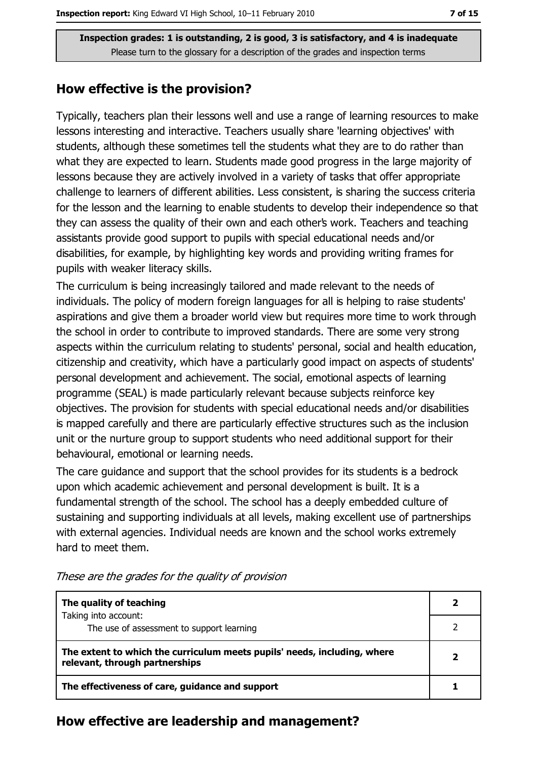#### How effective is the provision?

Typically, teachers plan their lessons well and use a range of learning resources to make lessons interesting and interactive. Teachers usually share 'learning objectives' with students, although these sometimes tell the students what they are to do rather than what they are expected to learn. Students made good progress in the large majority of lessons because they are actively involved in a variety of tasks that offer appropriate challenge to learners of different abilities. Less consistent, is sharing the success criteria for the lesson and the learning to enable students to develop their independence so that they can assess the quality of their own and each other's work. Teachers and teaching assistants provide good support to pupils with special educational needs and/or disabilities, for example, by highlighting key words and providing writing frames for pupils with weaker literacy skills.

The curriculum is being increasingly tailored and made relevant to the needs of individuals. The policy of modern foreign languages for all is helping to raise students' aspirations and give them a broader world view but requires more time to work through the school in order to contribute to improved standards. There are some very strong aspects within the curriculum relating to students' personal, social and health education, citizenship and creativity, which have a particularly good impact on aspects of students' personal development and achievement. The social, emotional aspects of learning programme (SEAL) is made particularly relevant because subjects reinforce key objectives. The provision for students with special educational needs and/or disabilities is mapped carefully and there are particularly effective structures such as the inclusion unit or the nurture group to support students who need additional support for their behavioural, emotional or learning needs.

The care guidance and support that the school provides for its students is a bedrock upon which academic achievement and personal development is built. It is a fundamental strength of the school. The school has a deeply embedded culture of sustaining and supporting individuals at all levels, making excellent use of partnerships with external agencies. Individual needs are known and the school works extremely hard to meet them.

| The quality of teaching                                                                                    |  |
|------------------------------------------------------------------------------------------------------------|--|
| Taking into account:<br>The use of assessment to support learning                                          |  |
| The extent to which the curriculum meets pupils' needs, including, where<br>relevant, through partnerships |  |
| The effectiveness of care, guidance and support                                                            |  |

These are the grades for the quality of provision

#### How effective are leadership and management?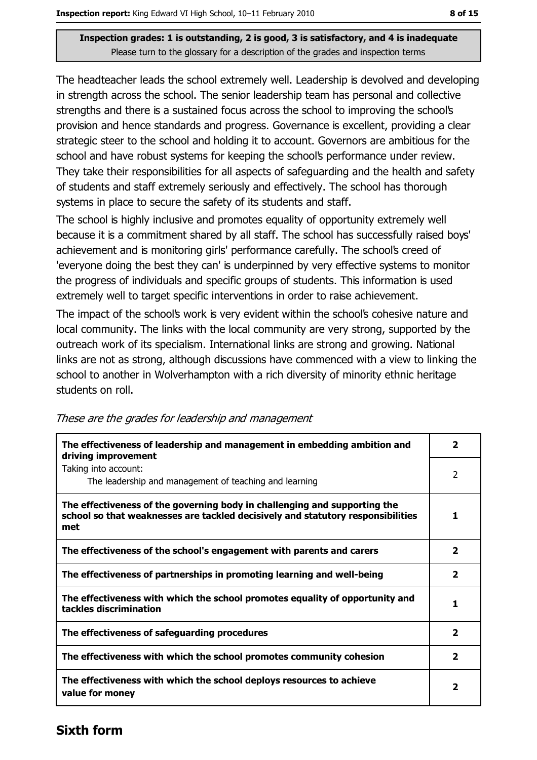The headteacher leads the school extremely well. Leadership is devolved and developing in strength across the school. The senior leadership team has personal and collective strengths and there is a sustained focus across the school to improving the school's provision and hence standards and progress. Governance is excellent, providing a clear strategic steer to the school and holding it to account. Governors are ambitious for the school and have robust systems for keeping the school's performance under review. They take their responsibilities for all aspects of safeguarding and the health and safety of students and staff extremely seriously and effectively. The school has thorough systems in place to secure the safety of its students and staff.

The school is highly inclusive and promotes equality of opportunity extremely well because it is a commitment shared by all staff. The school has successfully raised boys' achievement and is monitoring girls' performance carefully. The school's creed of 'everyone doing the best they can' is underpinned by very effective systems to monitor the progress of individuals and specific groups of students. This information is used extremely well to target specific interventions in order to raise achievement.

The impact of the school's work is very evident within the school's cohesive nature and local community. The links with the local community are very strong, supported by the outreach work of its specialism. International links are strong and growing. National links are not as strong, although discussions have commenced with a view to linking the school to another in Wolverhampton with a rich diversity of minority ethnic heritage students on roll.

| The effectiveness of leadership and management in embedding ambition and<br>driving improvement                                                                     | 2            |
|---------------------------------------------------------------------------------------------------------------------------------------------------------------------|--------------|
| Taking into account:<br>The leadership and management of teaching and learning                                                                                      | 2            |
| The effectiveness of the governing body in challenging and supporting the<br>school so that weaknesses are tackled decisively and statutory responsibilities<br>met | 1            |
| The effectiveness of the school's engagement with parents and carers                                                                                                | 2            |
| The effectiveness of partnerships in promoting learning and well-being                                                                                              | $\mathbf{z}$ |
| The effectiveness with which the school promotes equality of opportunity and<br>tackles discrimination                                                              | 1.           |
| The effectiveness of safeguarding procedures                                                                                                                        | $\mathbf{z}$ |
| The effectiveness with which the school promotes community cohesion                                                                                                 | 2            |
| The effectiveness with which the school deploys resources to achieve<br>value for money                                                                             | 2            |

#### These are the grades for leadership and management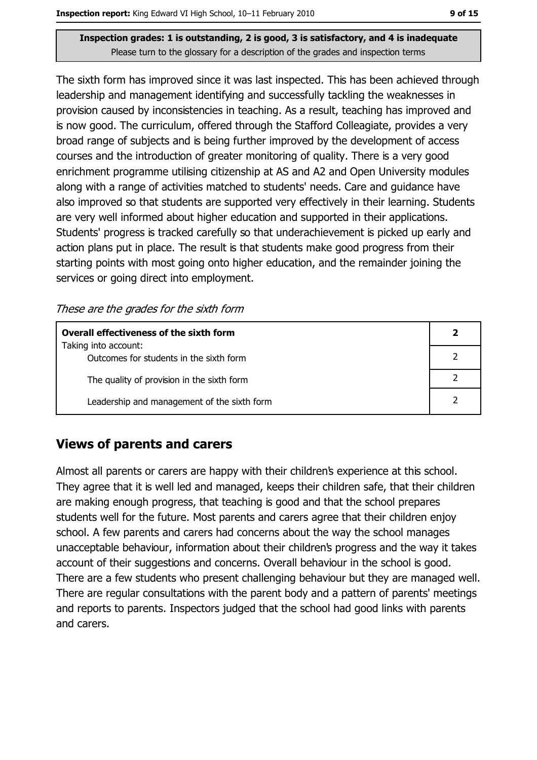The sixth form has improved since it was last inspected. This has been achieved through leadership and management identifying and successfully tackling the weaknesses in provision caused by inconsistencies in teaching. As a result, teaching has improved and is now good. The curriculum, offered through the Stafford Colleagiate, provides a very broad range of subjects and is being further improved by the development of access courses and the introduction of greater monitoring of quality. There is a very good enrichment programme utilising citizenship at AS and A2 and Open University modules along with a range of activities matched to students' needs. Care and quidance have also improved so that students are supported very effectively in their learning. Students are very well informed about higher education and supported in their applications. Students' progress is tracked carefully so that underachievement is picked up early and action plans put in place. The result is that students make good progress from their starting points with most going onto higher education, and the remainder joining the services or going direct into employment.

These are the grades for the sixth form

| Overall effectiveness of the sixth form     |  |  |
|---------------------------------------------|--|--|
| Taking into account:                        |  |  |
| Outcomes for students in the sixth form     |  |  |
| The quality of provision in the sixth form  |  |  |
| Leadership and management of the sixth form |  |  |

## **Views of parents and carers**

Almost all parents or carers are happy with their children's experience at this school. They agree that it is well led and managed, keeps their children safe, that their children are making enough progress, that teaching is good and that the school prepares students well for the future. Most parents and carers agree that their children enjoy school. A few parents and carers had concerns about the way the school manages unacceptable behaviour, information about their children's progress and the way it takes account of their suggestions and concerns. Overall behaviour in the school is good. There are a few students who present challenging behaviour but they are managed well. There are regular consultations with the parent body and a pattern of parents' meetings and reports to parents. Inspectors judged that the school had good links with parents and carers.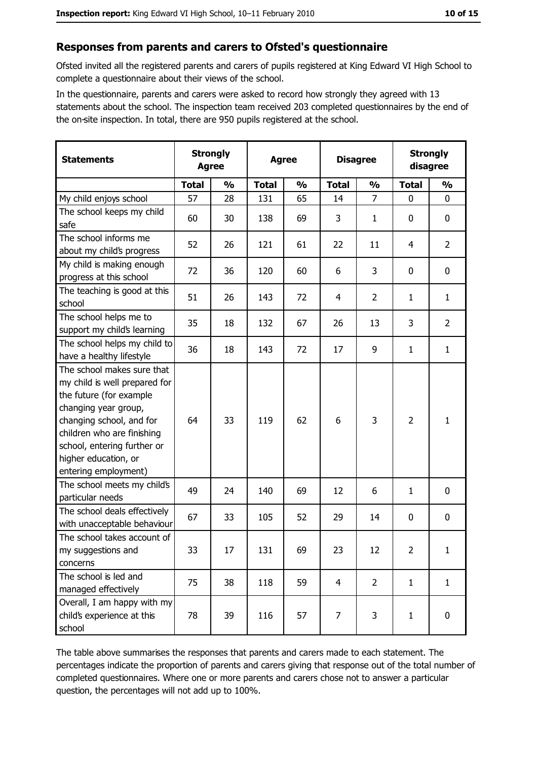## Responses from parents and carers to Ofsted's questionnaire

Ofsted invited all the registered parents and carers of pupils registered at King Edward VI High School to complete a questionnaire about their views of the school.

In the questionnaire, parents and carers were asked to record how strongly they agreed with 13 statements about the school. The inspection team received 203 completed questionnaires by the end of the on-site inspection. In total, there are 950 pupils registered at the school.

| <b>Statements</b>                                                                                                                                                                                                                                       | <b>Strongly</b><br><b>Agree</b> |               | <b>Agree</b> |               | <b>Disagree</b> |                | <b>Strongly</b><br>disagree |                |
|---------------------------------------------------------------------------------------------------------------------------------------------------------------------------------------------------------------------------------------------------------|---------------------------------|---------------|--------------|---------------|-----------------|----------------|-----------------------------|----------------|
|                                                                                                                                                                                                                                                         | <b>Total</b>                    | $\frac{0}{0}$ | <b>Total</b> | $\frac{0}{0}$ | <b>Total</b>    | $\frac{0}{0}$  | <b>Total</b>                | $\frac{0}{0}$  |
| My child enjoys school                                                                                                                                                                                                                                  | 57                              | 28            | 131          | 65            | 14              | $\overline{7}$ | $\mathbf 0$                 | 0              |
| The school keeps my child<br>safe                                                                                                                                                                                                                       | 60                              | 30            | 138          | 69            | 3               | 1              | 0                           | 0              |
| The school informs me<br>about my child's progress                                                                                                                                                                                                      | 52                              | 26            | 121          | 61            | 22              | 11             | 4                           | $\overline{2}$ |
| My child is making enough<br>progress at this school                                                                                                                                                                                                    | 72                              | 36            | 120          | 60            | 6               | 3              | 0                           | $\mathbf 0$    |
| The teaching is good at this<br>school                                                                                                                                                                                                                  | 51                              | 26            | 143          | 72            | 4               | $\overline{2}$ | 1                           | $\mathbf{1}$   |
| The school helps me to<br>support my child's learning                                                                                                                                                                                                   | 35                              | 18            | 132          | 67            | 26              | 13             | 3                           | $\overline{2}$ |
| The school helps my child to<br>have a healthy lifestyle                                                                                                                                                                                                | 36                              | 18            | 143          | 72            | 17              | 9              | 1                           | $\mathbf{1}$   |
| The school makes sure that<br>my child is well prepared for<br>the future (for example<br>changing year group,<br>changing school, and for<br>children who are finishing<br>school, entering further or<br>higher education, or<br>entering employment) | 64                              | 33            | 119          | 62            | 6               | 3              | $\overline{2}$              | $\mathbf{1}$   |
| The school meets my child's<br>particular needs                                                                                                                                                                                                         | 49                              | 24            | 140          | 69            | 12              | 6              | 1                           | $\mathbf 0$    |
| The school deals effectively<br>with unacceptable behaviour                                                                                                                                                                                             | 67                              | 33            | 105          | 52            | 29              | 14             | 0                           | $\bf{0}$       |
| The school takes account of<br>my suggestions and<br>concerns                                                                                                                                                                                           | 33                              | 17            | 131          | 69            | 23              | 12             | $\overline{2}$              | $\mathbf{1}$   |
| The school is led and<br>managed effectively                                                                                                                                                                                                            | 75                              | 38            | 118          | 59            | $\overline{4}$  | $\overline{2}$ | $\mathbf{1}$                | $\mathbf{1}$   |
| Overall, I am happy with my<br>child's experience at this<br>school                                                                                                                                                                                     | 78                              | 39            | 116          | 57            | $\overline{7}$  | 3              | $\mathbf{1}$                | 0              |

The table above summarises the responses that parents and carers made to each statement. The percentages indicate the proportion of parents and carers giving that response out of the total number of completed questionnaires. Where one or more parents and carers chose not to answer a particular question, the percentages will not add up to 100%.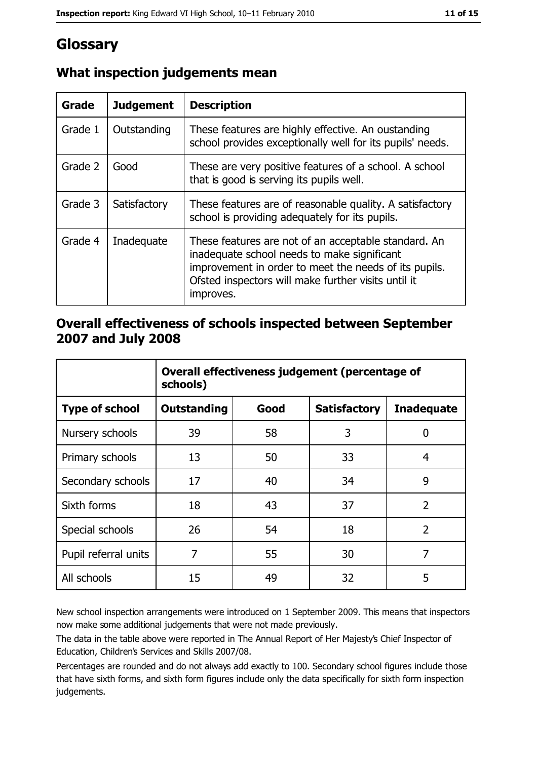# Glossary

| Grade   | <b>Judgement</b> | <b>Description</b>                                                                                                                                                                                                               |
|---------|------------------|----------------------------------------------------------------------------------------------------------------------------------------------------------------------------------------------------------------------------------|
| Grade 1 | Outstanding      | These features are highly effective. An oustanding<br>school provides exceptionally well for its pupils' needs.                                                                                                                  |
| Grade 2 | Good             | These are very positive features of a school. A school<br>that is good is serving its pupils well.                                                                                                                               |
| Grade 3 | Satisfactory     | These features are of reasonable quality. A satisfactory<br>school is providing adequately for its pupils.                                                                                                                       |
| Grade 4 | Inadequate       | These features are not of an acceptable standard. An<br>inadequate school needs to make significant<br>improvement in order to meet the needs of its pupils.<br>Ofsted inspectors will make further visits until it<br>improves. |

# What inspection judgements mean

## Overall effectiveness of schools inspected between September 2007 and July 2008

|                       | Overall effectiveness judgement (percentage of<br>schools) |      |                     |                   |
|-----------------------|------------------------------------------------------------|------|---------------------|-------------------|
| <b>Type of school</b> | <b>Outstanding</b>                                         | Good | <b>Satisfactory</b> | <b>Inadequate</b> |
| Nursery schools       | 39                                                         | 58   | 3                   | 0                 |
| Primary schools       | 13                                                         | 50   | 33                  | 4                 |
| Secondary schools     | 17                                                         | 40   | 34                  | 9                 |
| Sixth forms           | 18                                                         | 43   | 37                  | $\overline{2}$    |
| Special schools       | 26                                                         | 54   | 18                  | $\overline{2}$    |
| Pupil referral units  | 7                                                          | 55   | 30                  | 7                 |
| All schools           | 15                                                         | 49   | 32                  | 5                 |

New school inspection arrangements were introduced on 1 September 2009. This means that inspectors now make some additional judgements that were not made previously.

The data in the table above were reported in The Annual Report of Her Majesty's Chief Inspector of Education, Children's Services and Skills 2007/08.

Percentages are rounded and do not always add exactly to 100. Secondary school figures include those that have sixth forms, and sixth form figures include only the data specifically for sixth form inspection judgements.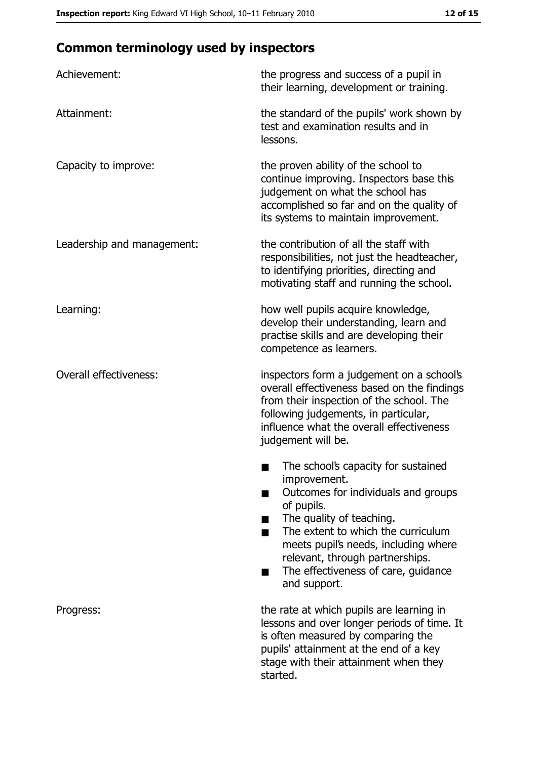# **Common terminology used by inspectors**

| Achievement:                  | the progress and success of a pupil in<br>their learning, development or training.                                                                                                                                                                                                                                |
|-------------------------------|-------------------------------------------------------------------------------------------------------------------------------------------------------------------------------------------------------------------------------------------------------------------------------------------------------------------|
| Attainment:                   | the standard of the pupils' work shown by<br>test and examination results and in<br>lessons.                                                                                                                                                                                                                      |
| Capacity to improve:          | the proven ability of the school to<br>continue improving. Inspectors base this<br>judgement on what the school has<br>accomplished so far and on the quality of<br>its systems to maintain improvement.                                                                                                          |
| Leadership and management:    | the contribution of all the staff with<br>responsibilities, not just the headteacher,<br>to identifying priorities, directing and<br>motivating staff and running the school.                                                                                                                                     |
| Learning:                     | how well pupils acquire knowledge,<br>develop their understanding, learn and<br>practise skills and are developing their<br>competence as learners.                                                                                                                                                               |
| <b>Overall effectiveness:</b> | inspectors form a judgement on a school's<br>overall effectiveness based on the findings<br>from their inspection of the school. The<br>following judgements, in particular,<br>influence what the overall effectiveness<br>judgement will be.                                                                    |
|                               | The school's capacity for sustained<br>improvement.<br>Outcomes for individuals and groups<br>of pupils.<br>The quality of teaching.<br>The extent to which the curriculum<br>meets pupil's needs, including where<br>relevant, through partnerships.<br>The effectiveness of care, guidance<br>▄<br>and support. |
| Progress:                     | the rate at which pupils are learning in<br>lessons and over longer periods of time. It<br>is often measured by comparing the<br>pupils' attainment at the end of a key<br>stage with their attainment when they<br>started.                                                                                      |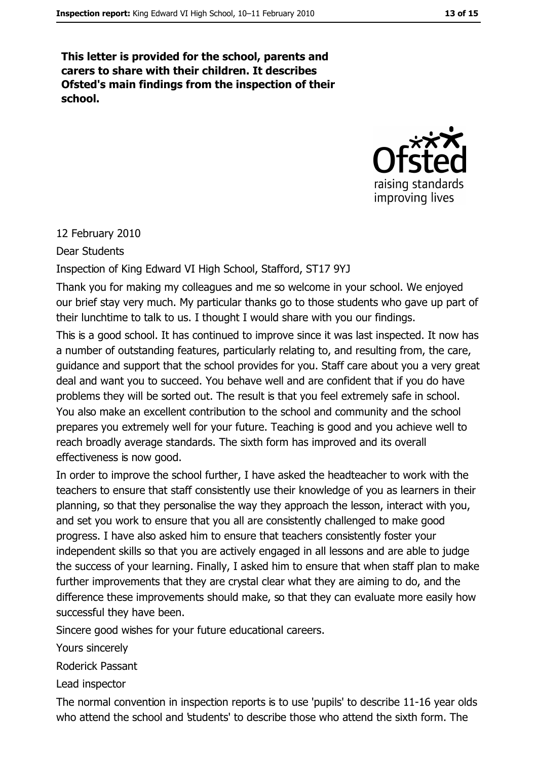This letter is provided for the school, parents and carers to share with their children. It describes Ofsted's main findings from the inspection of their school.



#### 12 February 2010

**Dear Students** 

Inspection of King Edward VI High School, Stafford, ST17 9YJ

Thank you for making my colleagues and me so welcome in your school. We enjoyed our brief stay very much. My particular thanks go to those students who gave up part of their lunchtime to talk to us. I thought I would share with you our findings.

This is a good school. It has continued to improve since it was last inspected. It now has a number of outstanding features, particularly relating to, and resulting from, the care, quidance and support that the school provides for you. Staff care about you a very great deal and want you to succeed. You behave well and are confident that if you do have problems they will be sorted out. The result is that you feel extremely safe in school. You also make an excellent contribution to the school and community and the school prepares you extremely well for your future. Teaching is good and you achieve well to reach broadly average standards. The sixth form has improved and its overall effectiveness is now good.

In order to improve the school further, I have asked the headteacher to work with the teachers to ensure that staff consistently use their knowledge of you as learners in their planning, so that they personalise the way they approach the lesson, interact with you, and set you work to ensure that you all are consistently challenged to make good progress. I have also asked him to ensure that teachers consistently foster your independent skills so that you are actively engaged in all lessons and are able to judge the success of your learning. Finally, I asked him to ensure that when staff plan to make further improvements that they are crystal clear what they are aiming to do, and the difference these improvements should make, so that they can evaluate more easily how successful they have been.

Sincere good wishes for your future educational careers.

Yours sincerely

**Roderick Passant** 

Lead inspector

The normal convention in inspection reports is to use 'pupils' to describe 11-16 year olds who attend the school and students' to describe those who attend the sixth form. The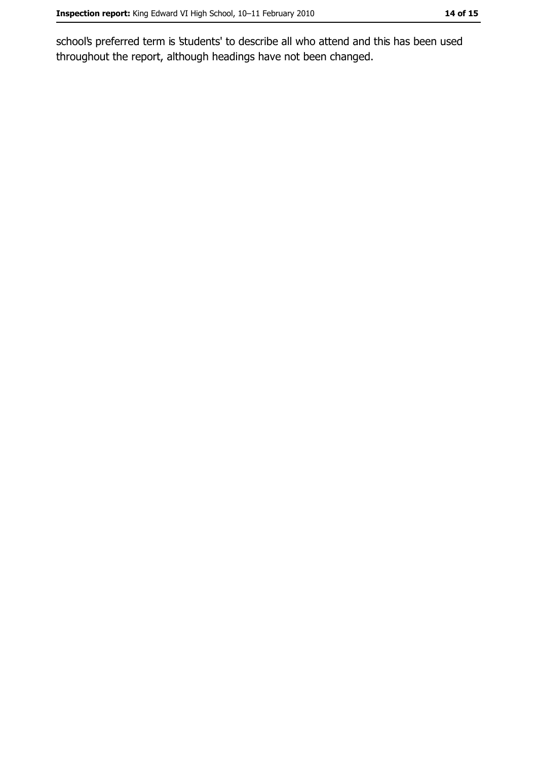school's preferred term is 'students' to describe all who attend and this has been used throughout the report, although headings have not been changed.